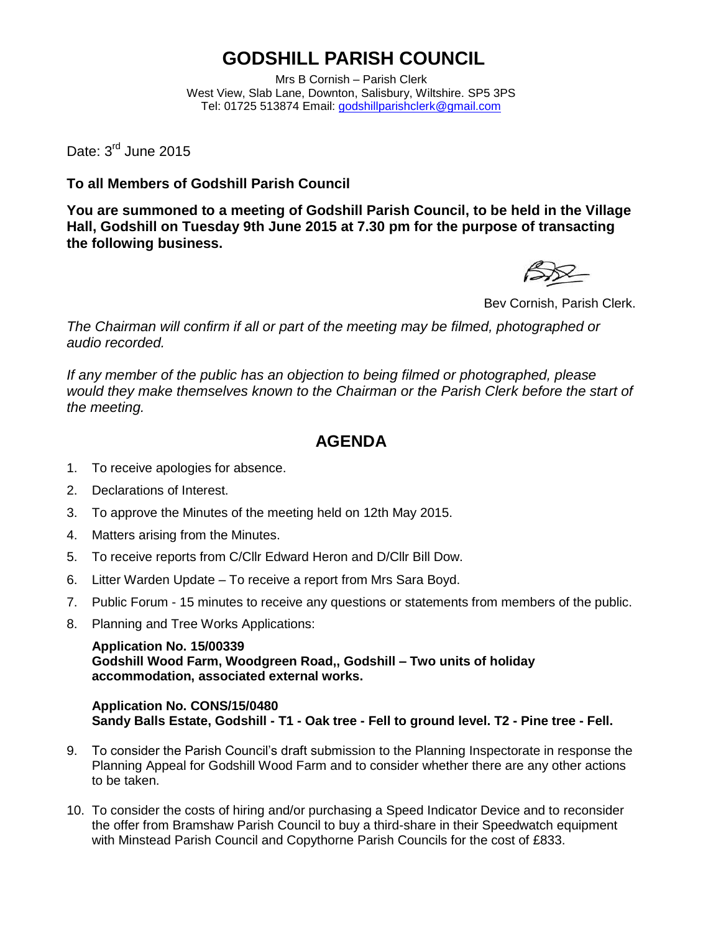## **GODSHILL PARISH COUNCIL**

Mrs B Cornish – Parish Clerk West View, Slab Lane, Downton, Salisbury, Wiltshire. SP5 3PS Tel: 01725 513874 Email: [godshillparishclerk@gmail.com](mailto:godshillparishclerk@gmail.com)

Date: 3<sup>rd</sup> June 2015

**To all Members of Godshill Parish Council**

**You are summoned to a meeting of Godshill Parish Council, to be held in the Village Hall, Godshill on Tuesday 9th June 2015 at 7.30 pm for the purpose of transacting the following business.**

Bev Cornish, Parish Clerk.

*The Chairman will confirm if all or part of the meeting may be filmed, photographed or audio recorded.*

*If any member of the public has an objection to being filmed or photographed, please would they make themselves known to the Chairman or the Parish Clerk before the start of the meeting.*

## **AGENDA**

- 1. To receive apologies for absence.
- 2. Declarations of Interest.
- 3. To approve the Minutes of the meeting held on 12th May 2015.
- 4. Matters arising from the Minutes.
- 5. To receive reports from C/Cllr Edward Heron and D/Cllr Bill Dow.
- 6. Litter Warden Update To receive a report from Mrs Sara Boyd.
- 7. Public Forum 15 minutes to receive any questions or statements from members of the public.
- 8. Planning and Tree Works Applications:

**Application No. 15/00339 Godshill Wood Farm, Woodgreen Road,, Godshill – Two units of holiday accommodation, associated external works.** 

## **Application No. CONS/15/0480 Sandy Balls Estate, Godshill - T1 - Oak tree - Fell to ground level. T2 - Pine tree - Fell.**

- 9. To consider the Parish Council's draft submission to the Planning Inspectorate in response the Planning Appeal for Godshill Wood Farm and to consider whether there are any other actions to be taken.
- 10. To consider the costs of hiring and/or purchasing a Speed Indicator Device and to reconsider the offer from Bramshaw Parish Council to buy a third-share in their Speedwatch equipment with Minstead Parish Council and Copythorne Parish Councils for the cost of £833.